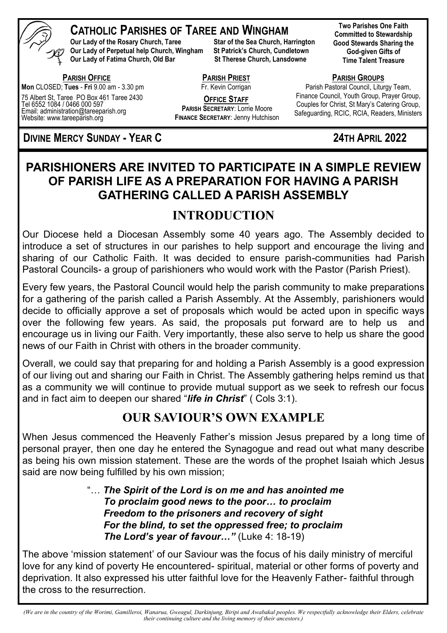

### **CATHOLIC PARISHES OF TAREE AND WINGHAM**

**Our Lady of the Rosary Church, Taree Star of the Sea Church, Harrington Our Lady of Perpetual help Church, Wingham St Patrick's Church, Cundletown Our Lady of Fatima Church, Old Bar St Therese Church, Lansdowne** 

 **PARISH OFFICE Mon** CLOSED; **Tues** - **Fri** 9.00 am - 3.30 pm

75 Albert St, Taree PO Box 461 Taree 2430 Tel 6552 1084 / 0466 000 597 Email: administration@tareeparish.org Website: www.tareeparish.org

**DIVINE MERCY SUNDAY - YEAR C 24TH APRIL 2022** 

**Two Parishes One Faith Committed to Stewardship Good Stewards Sharing the God-given Gifts of Time Talent Treasure**

**PARISH GROUPS**

Parish Pastoral Council, Liturgy Team, Finance Council, Youth Group, Prayer Group, Couples for Christ, St Mary's Catering Group, Safeguarding, RCIC, RCIA, Readers, Ministers

### **PARISHIONERS ARE INVITED TO PARTICIPATE IN A SIMPLE REVIEW OF PARISH LIFE AS A PREPARATION FOR HAVING A PARISH GATHERING CALLED A PARISH ASSEMBLY**

**PARISH PRIEST**  Fr. Kevin Corrigan **OFFICE STAFF PARISH SECRETARY**: Lorrie Moore **FINANCE SECRETARY**: Jenny Hutchison

### **INTRODUCTION**

Our Diocese held a Diocesan Assembly some 40 years ago. The Assembly decided to introduce a set of structures in our parishes to help support and encourage the living and sharing of our Catholic Faith. It was decided to ensure parish-communities had Parish Pastoral Councils- a group of parishioners who would work with the Pastor (Parish Priest).

Every few years, the Pastoral Council would help the parish community to make preparations for a gathering of the parish called a Parish Assembly. At the Assembly, parishioners would decide to officially approve a set of proposals which would be acted upon in specific ways over the following few years. As said, the proposals put forward are to help us and encourage us in living our Faith. Very importantly, these also serve to help us share the good news of our Faith in Christ with others in the broader community.

Overall, we could say that preparing for and holding a Parish Assembly is a good expression of our living out and sharing our Faith in Christ. The Assembly gathering helps remind us that as a community we will continue to provide mutual support as we seek to refresh our focus and in fact aim to deepen our shared "*life in Christ*" ( Cols 3:1).

### **OUR SAVIOUR'S OWN EXAMPLE**

When Jesus commenced the Heavenly Father's mission Jesus prepared by a long time of personal prayer, then one day he entered the Synagogue and read out what many describe as being his own mission statement. These are the words of the prophet Isaiah which Jesus said are now being fulfilled by his own mission;

> "… *The Spirit of the Lord is on me and has anointed me To proclaim good news to the poor… to proclaim Freedom to the prisoners and recovery of sight For the blind, to set the oppressed free; to proclaim The Lord's year of favour…"* (Luke 4: 18-19)

The above 'mission statement' of our Saviour was the focus of his daily ministry of merciful love for any kind of poverty He encountered- spiritual, material or other forms of poverty and deprivation. It also expressed his utter faithful love for the Heavenly Father- faithful through the cross to the resurrection.

*(We are in the country of the Worimi, Gamilleroi, Wanarua, Gweagul, Darkinjung, Biripi and Awabakal peoples. We respectfully acknowledge their Elders, celebrate their continuing culture and the living memory of their ancestors.)*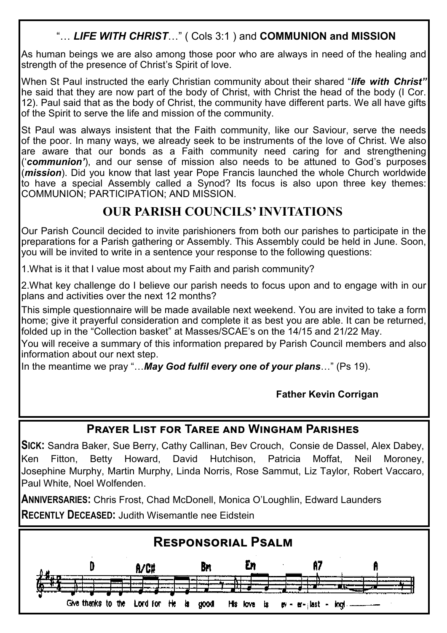### "… *LIFE WITH CHRIST*…" ( Cols 3:1 ) and **COMMUNION and MISSION**

As human beings we are also among those poor who are always in need of the healing and strength of the presence of Christ's Spirit of love.

When St Paul instructed the early Christian community about their shared "*life with Christ"*  he said that they are now part of the body of Christ, with Christ the head of the body (I Cor. 12). Paul said that as the body of Christ, the community have different parts. We all have gifts of the Spirit to serve the life and mission of the community.

St Paul was always insistent that the Faith community, like our Saviour, serve the needs of the poor. In many ways, we already seek to be instruments of the love of Christ. We also  $\vert$ are aware that our bonds as a Faith community need caring for and strengthening ('*communion'*), and our sense of mission also needs to be attuned to God's purposes (*mission*). Did you know that last year Pope Francis launched the whole Church worldwide to have a special Assembly called a Synod? Its focus is also upon three key themes: COMMUNION; PARTICIPATION; AND MISSION.

### **OUR PARISH COUNCILS' INVITATIONS**

Our Parish Council decided to invite parishioners from both our parishes to participate in the preparations for a Parish gathering or Assembly. This Assembly could be held in June. Soon, you will be invited to write in a sentence your response to the following questions:

1.What is it that I value most about my Faith and parish community?

I

2.What key challenge do I believe our parish needs to focus upon and to engage with in our plans and activities over the next 12 months?

This simple questionnaire will be made available next weekend. You are invited to take a form home; give it prayerful consideration and complete it as best you are able. It can be returned, folded up in the "Collection basket" at Masses/SCAE's on the 14/15 and 21/22 May.

You will receive a summary of this information prepared by Parish Council members and also information about our next step.

In the meantime we pray "…*May God fulfil every one of your plans*…" (Ps 19).

#### **Father Kevin Corrigan**

### **Prayer List for Taree and Wingham Parishes**

**SICK:** Sandra Baker, Sue Berry, Cathy Callinan, Bev Crouch, Consie de Dassel, Alex Dabey, Ken Fitton, Betty Howard, David Hutchison, Patricia Moffat, Neil Moroney, Josephine Murphy, Martin Murphy, Linda Norris, Rose Sammut, Liz Taylor, Robert Vaccaro, Paul White, Noel Wolfenden.

**ANNIVERSARIES:** Chris Frost, Chad McDonell, Monica O'Loughlin, Edward Launders **RECENTLY DECEASED:** Judith Wisemantle nee Eidstein

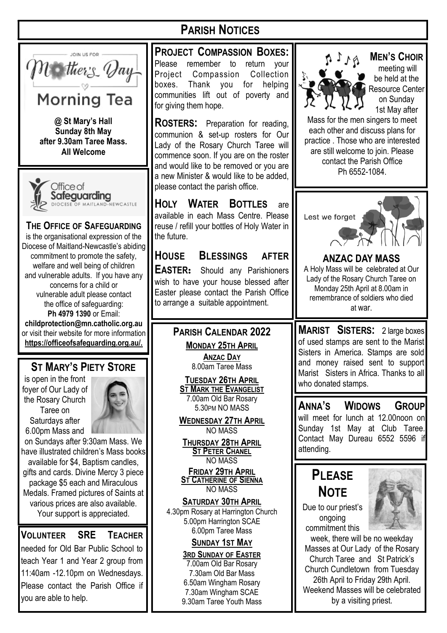

Office of Safeguarding

**All Welcome**

#### **THE OFFICE OF SAFEGUARDING**  is the organisational expression of the Diocese of Maitland-Newcastle's abiding commitment to promote the safety, welfare and well being of children and vulnerable adults. If you have any concerns for a child or vulnerable adult please contact the office of safeguarding: **Ph 4979 1390** or Email: **childprotection@mn.catholic.org.au**  or visit their website for more information **https://officeofsafeguarding.org.au/.**

### **ST MARY'S PIETY STORE**

is open in the front foyer of Our Lady of the Rosary Church Taree on Saturdays after 6.00pm Mass and



on Sundays after 9:30am Mass. We have illustrated children's Mass books available for \$4, Baptism candles, gifts and cards. Divine Mercy 3 piece package \$5 each and Miraculous Medals. Framed pictures of Saints at various prices are also available. Your support is appreciated.

#### **VOLUNTEER SRE TEACHER**

needed for Old Bar Public School to teach Year 1 and Year 2 group from 11:40am -12.10pm on Wednesdays. Please contact the Parish Office if you are able to help.

# **PARISH NOTICES**

**PROJECT COMPASSION BOXES:** Please remember to return your Project Compassion Collection boxes. Thank you for helping communities lift out of poverty and for giving them hope.

**ROSTERS:** Preparation for reading, communion & set-up rosters for Our Lady of the Rosary Church Taree will commence soon. If you are on the roster and would like to be removed or you are a new Minister & would like to be added, please contact the parish office.

**HOLY WATER BOTTLES** are available in each Mass Centre. Please reuse / refill your bottles of Holy Water in the future.

**HOUSE BLESSINGS AFTER EASTER:** Should any Parishioners wish to have your house blessed after Easter please contact the Parish Office to arrange a suitable appointment.

#### **PARISH CALENDAR 2022 MONDAY 25TH APRIL**

**ANZAC DAY** 8.00am Taree Mass

**TUESDAY 26TH APRIL ST MARK THE EVANGELIST** 7.00am Old Bar Rosary 5.30PM NO MASS

**WEDNESDAY 27TH APRIL** NO MASS

**THURSDAY 28TH APRIL ST PETER CHANEL** NO MASS

**FRIDAY 29TH APRIL ST CATHERINE OF SIENNA** NO MASS

**SATURDAY 30TH APRIL** 4.30pm Rosary at Harrington Church 5.00pm Harrington SCAE 6.00pm Taree Mass

#### **SUNDAY 1ST MAY**

**3RD SUNDAY OF EASTER** 7.00am Old Bar Rosary 7.30am Old Bar Mass 6.50am Wingham Rosary 7.30am Wingham SCAE 9.30am Taree Youth Mass



**MEN'S CHOIR**

meeting will be held at the Resource Center on Sunday 1st May after

Mass for the men singers to meet each other and discuss plans for practice . Those who are interested are still welcome to join. Please contact the Parish Office Ph 6552-1084.



**ANZAC DAY MASS**  A Holy Mass will be celebrated at Our Lady of the Rosary Church Taree on Monday 25th April at 8.00am in remembrance of soldiers who died at war.

**MARIST SISTERS:** 2 large boxes of used stamps are sent to the Marist Sisters in America. Stamps are sold and money raised sent to support Marist Sisters in Africa. Thanks to all who donated stamps.

**ANNA'S WIDOWS GROUP**  will meet for lunch at 12.00noon on Sunday 1st May at Club Taree. Contact May Dureau 6552 5596 if attending.

# **PLEASE NOTE**

Due to our priest's ongoing commitment this



week, there will be no weekday Masses at Our Lady of the Rosary Church Taree and St Patrick's Church Cundletown from Tuesday 26th April to Friday 29th April. Weekend Masses will be celebrated by a visiting priest.